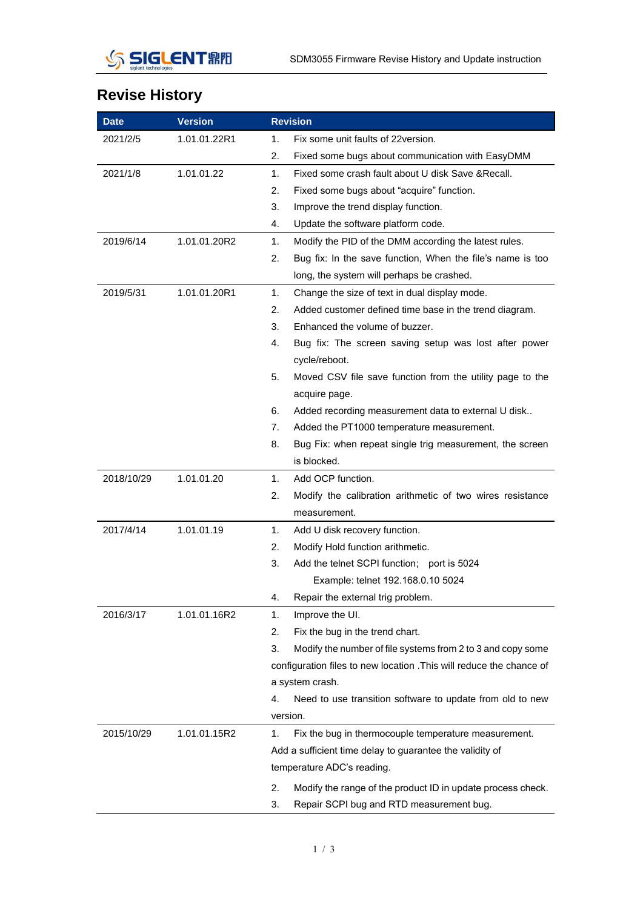

## **Revise History**

| <b>Date</b> | <b>Version</b> |    | <b>Revision</b>                                                      |  |
|-------------|----------------|----|----------------------------------------------------------------------|--|
| 2021/2/5    | 1.01.01.22R1   | 1. | Fix some unit faults of 22 version.                                  |  |
|             |                | 2. | Fixed some bugs about communication with EasyDMM                     |  |
| 2021/1/8    | 1.01.01.22     | 1. | Fixed some crash fault about U disk Save & Recall.                   |  |
|             |                | 2. | Fixed some bugs about "acquire" function.                            |  |
|             |                | 3. | Improve the trend display function.                                  |  |
|             |                | 4. | Update the software platform code.                                   |  |
| 2019/6/14   | 1.01.01.20R2   | 1. | Modify the PID of the DMM according the latest rules.                |  |
|             |                | 2. | Bug fix: In the save function, When the file's name is too           |  |
|             |                |    | long, the system will perhaps be crashed.                            |  |
| 2019/5/31   | 1.01.01.20R1   | 1. | Change the size of text in dual display mode.                        |  |
|             |                | 2. | Added customer defined time base in the trend diagram.               |  |
|             |                | 3. | Enhanced the volume of buzzer.                                       |  |
|             |                | 4. | Bug fix: The screen saving setup was lost after power                |  |
|             |                |    | cycle/reboot.                                                        |  |
|             |                | 5. | Moved CSV file save function from the utility page to the            |  |
|             |                |    | acquire page.                                                        |  |
|             |                | 6. | Added recording measurement data to external U disk                  |  |
|             |                | 7. | Added the PT1000 temperature measurement.                            |  |
|             |                | 8. | Bug Fix: when repeat single trig measurement, the screen             |  |
|             |                |    | is blocked.                                                          |  |
| 2018/10/29  | 1.01.01.20     | 1. | Add OCP function.                                                    |  |
|             |                | 2. | Modify the calibration arithmetic of two wires resistance            |  |
|             |                |    | measurement.                                                         |  |
| 2017/4/14   | 1.01.01.19     | 1. | Add U disk recovery function.                                        |  |
|             |                | 2. | Modify Hold function arithmetic.                                     |  |
|             |                | 3. | Add the telnet SCPI function; port is 5024                           |  |
|             |                |    | Example: telnet 192.168.0.10 5024                                    |  |
|             |                | 4. | Repair the external trig problem.                                    |  |
| 2016/3/17   | 1.01.01.16R2   | 1. | Improve the UI.                                                      |  |
|             |                | 2. | Fix the bug in the trend chart.                                      |  |
|             |                | 3. | Modify the number of file systems from 2 to 3 and copy some          |  |
|             |                |    | configuration files to new location . This will reduce the chance of |  |
|             |                |    | a system crash.                                                      |  |
|             |                | 4. | Need to use transition software to update from old to new            |  |
|             |                |    | version.                                                             |  |
| 2015/10/29  | 1.01.01.15R2   | 1. | Fix the bug in thermocouple temperature measurement.                 |  |
|             |                |    | Add a sufficient time delay to guarantee the validity of             |  |
|             |                |    | temperature ADC's reading.                                           |  |
|             |                | 2. | Modify the range of the product ID in update process check.          |  |
|             |                | 3. | Repair SCPI bug and RTD measurement bug.                             |  |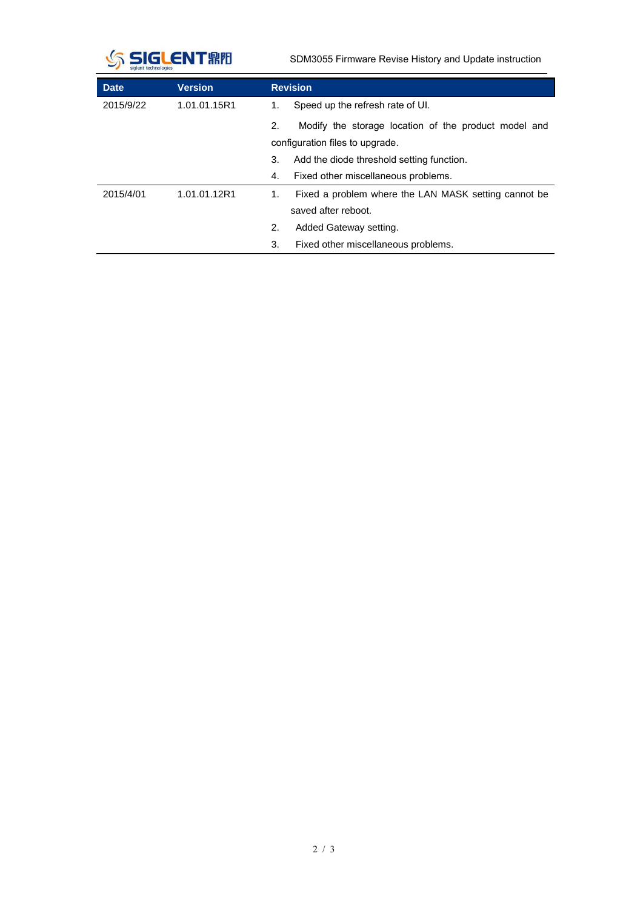

SDM3055 Firmware Revise History and Update instruction

| <b>Date</b> | <b>Version</b> | <b>Revision</b>                                            |
|-------------|----------------|------------------------------------------------------------|
| 2015/9/22   | 1.01.01.15R1   | Speed up the refresh rate of UI.<br>1.                     |
|             |                | Modify the storage location of the product model and<br>2. |
|             |                | configuration files to upgrade.                            |
|             |                | 3.<br>Add the diode threshold setting function.            |
|             |                | Fixed other miscellaneous problems.<br>4.                  |
| 2015/4/01   | 1.01.01.12R1   | Fixed a problem where the LAN MASK setting cannot be<br>1. |
|             |                | saved after reboot.                                        |
|             |                | 2.<br>Added Gateway setting.                               |
|             |                | Fixed other miscellaneous problems.<br>3.                  |